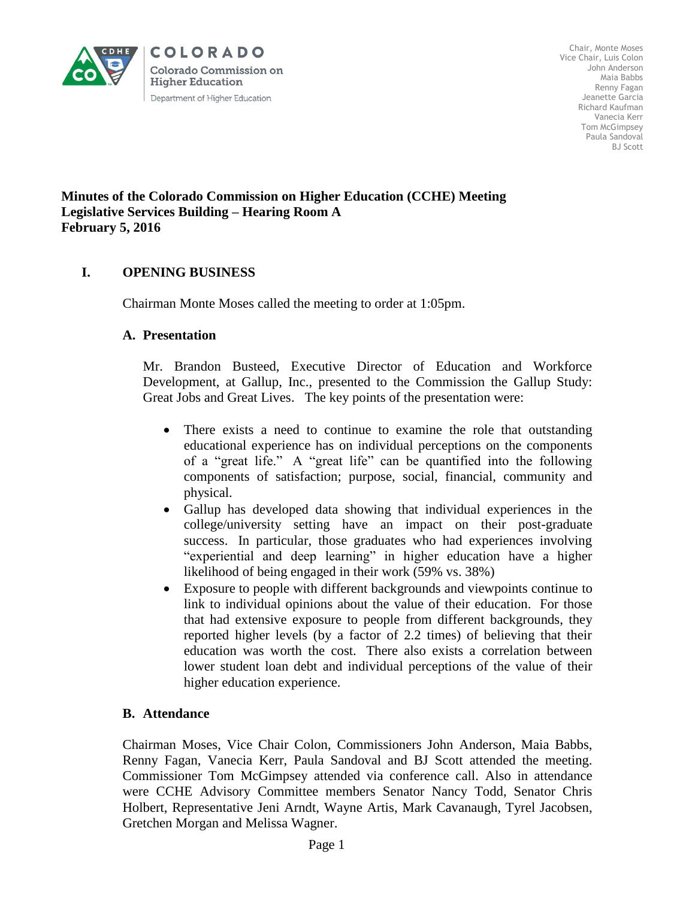

Chair, Monte Moses Vice Chair, Luis Colon John Anderson Maia Babbs Renny Fagan Jeanette Garcia Richard Kaufman Vanecia Kerr Tom McGimpsey Paula Sandoval BJ Scott

#### **Minutes of the Colorado Commission on Higher Education (CCHE) Meeting Legislative Services Building – Hearing Room A February 5, 2016**

## **I. OPENING BUSINESS**

Chairman Monte Moses called the meeting to order at 1:05pm.

#### **A. Presentation**

Mr. Brandon Busteed, Executive Director of Education and Workforce Development, at Gallup, Inc., presented to the Commission the Gallup Study: Great Jobs and Great Lives. The key points of the presentation were:

- There exists a need to continue to examine the role that outstanding educational experience has on individual perceptions on the components of a "great life." A "great life" can be quantified into the following components of satisfaction; purpose, social, financial, community and physical.
- Gallup has developed data showing that individual experiences in the college/university setting have an impact on their post-graduate success. In particular, those graduates who had experiences involving "experiential and deep learning" in higher education have a higher likelihood of being engaged in their work (59% vs. 38%)
- Exposure to people with different backgrounds and viewpoints continue to link to individual opinions about the value of their education. For those that had extensive exposure to people from different backgrounds, they reported higher levels (by a factor of 2.2 times) of believing that their education was worth the cost. There also exists a correlation between lower student loan debt and individual perceptions of the value of their higher education experience.

## **B. Attendance**

Chairman Moses, Vice Chair Colon, Commissioners John Anderson, Maia Babbs, Renny Fagan, Vanecia Kerr, Paula Sandoval and BJ Scott attended the meeting. Commissioner Tom McGimpsey attended via conference call. Also in attendance were CCHE Advisory Committee members Senator Nancy Todd, Senator Chris Holbert, Representative Jeni Arndt, Wayne Artis, Mark Cavanaugh, Tyrel Jacobsen, Gretchen Morgan and Melissa Wagner.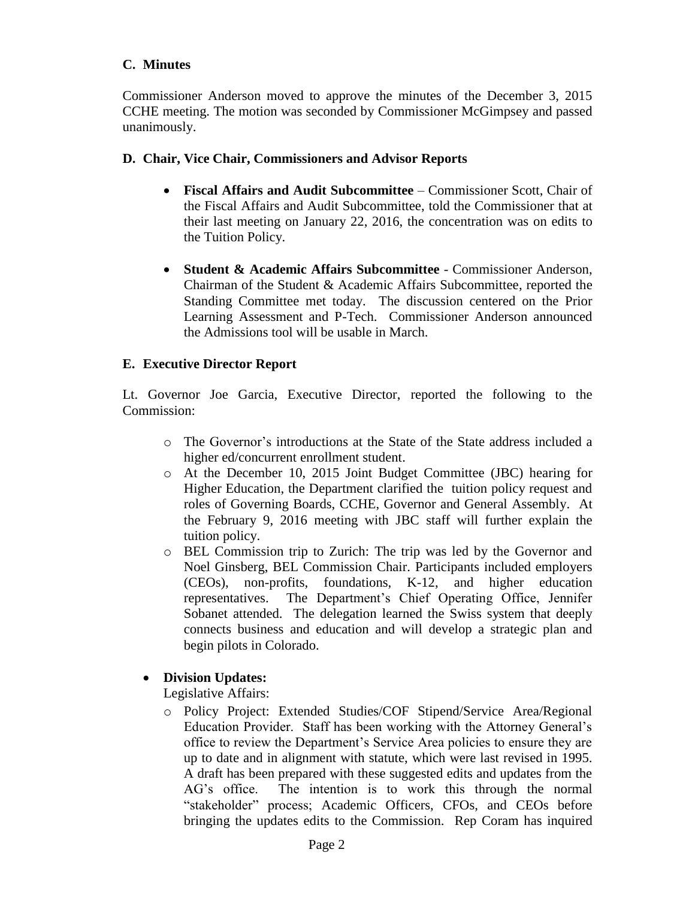#### **C. Minutes**

Commissioner Anderson moved to approve the minutes of the December 3, 2015 CCHE meeting. The motion was seconded by Commissioner McGimpsey and passed unanimously.

#### **D. Chair, Vice Chair, Commissioners and Advisor Reports**

- **Fiscal Affairs and Audit Subcommittee** Commissioner Scott, Chair of the Fiscal Affairs and Audit Subcommittee, told the Commissioner that at their last meeting on January 22, 2016, the concentration was on edits to the Tuition Policy.
- **Student & Academic Affairs Subcommittee** Commissioner Anderson, Chairman of the Student & Academic Affairs Subcommittee, reported the Standing Committee met today. The discussion centered on the Prior Learning Assessment and P-Tech. Commissioner Anderson announced the Admissions tool will be usable in March.

#### **E. Executive Director Report**

Lt. Governor Joe Garcia, Executive Director, reported the following to the Commission:

- o The Governor's introductions at the State of the State address included a higher ed/concurrent enrollment student.
- o At the December 10, 2015 Joint Budget Committee (JBC) hearing for Higher Education, the Department clarified the tuition policy request and roles of Governing Boards, CCHE, Governor and General Assembly. At the February 9, 2016 meeting with JBC staff will further explain the tuition policy.
- o BEL Commission trip to Zurich: The trip was led by the Governor and Noel Ginsberg, BEL Commission Chair. Participants included employers (CEOs), non-profits, foundations, K-12, and higher education representatives. The Department's Chief Operating Office, Jennifer Sobanet attended. The delegation learned the Swiss system that deeply connects business and education and will develop a strategic plan and begin pilots in Colorado.

## **Division Updates:**

Legislative Affairs:

o Policy Project: Extended Studies/COF Stipend/Service Area/Regional Education Provider. Staff has been working with the Attorney General's office to review the Department's Service Area policies to ensure they are up to date and in alignment with statute, which were last revised in 1995. A draft has been prepared with these suggested edits and updates from the AG's office. The intention is to work this through the normal "stakeholder" process; Academic Officers, CFOs, and CEOs before bringing the updates edits to the Commission. Rep Coram has inquired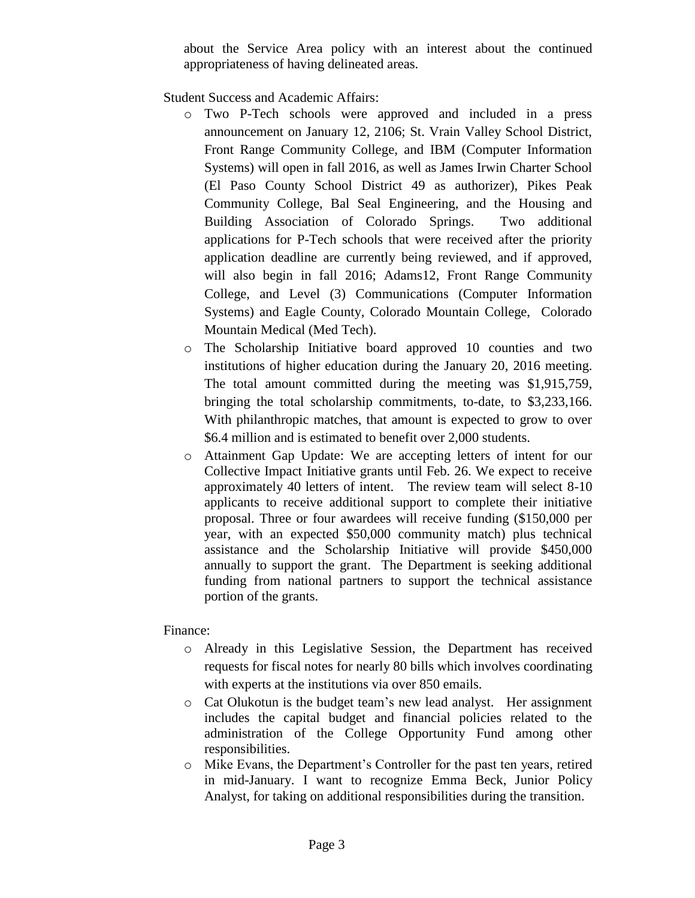about the Service Area policy with an interest about the continued appropriateness of having delineated areas.

Student Success and Academic Affairs:

- o Two P-Tech schools were approved and included in a press announcement on January 12, 2106; St. Vrain Valley School District, Front Range Community College, and IBM (Computer Information Systems) will open in fall 2016, as well as James Irwin Charter School (El Paso County School District 49 as authorizer), Pikes Peak Community College, Bal Seal Engineering, and the Housing and Building Association of Colorado Springs. Two additional applications for P-Tech schools that were received after the priority application deadline are currently being reviewed, and if approved, will also begin in fall 2016; Adams12, Front Range Community College, and Level (3) Communications (Computer Information Systems) and Eagle County, Colorado Mountain College, Colorado Mountain Medical (Med Tech).
- o The Scholarship Initiative board approved 10 counties and two institutions of higher education during the January 20, 2016 meeting. The total amount committed during the meeting was \$1,915,759, bringing the total scholarship commitments, to-date, to \$3,233,166. With philanthropic matches, that amount is expected to grow to over \$6.4 million and is estimated to benefit over 2,000 students.
- o Attainment Gap Update: We are accepting letters of intent for our Collective Impact Initiative grants until Feb. 26. We expect to receive approximately 40 letters of intent. The review team will select 8-10 applicants to receive additional support to complete their initiative proposal. Three or four awardees will receive funding (\$150,000 per year, with an expected \$50,000 community match) plus technical assistance and the Scholarship Initiative will provide \$450,000 annually to support the grant. The Department is seeking additional funding from national partners to support the technical assistance portion of the grants.

## Finance:

- o Already in this Legislative Session, the Department has received requests for fiscal notes for nearly 80 bills which involves coordinating with experts at the institutions via over 850 emails.
- o Cat Olukotun is the budget team's new lead analyst. Her assignment includes the capital budget and financial policies related to the administration of the College Opportunity Fund among other responsibilities.
- o Mike Evans, the Department's Controller for the past ten years, retired in mid-January. I want to recognize Emma Beck, Junior Policy Analyst, for taking on additional responsibilities during the transition.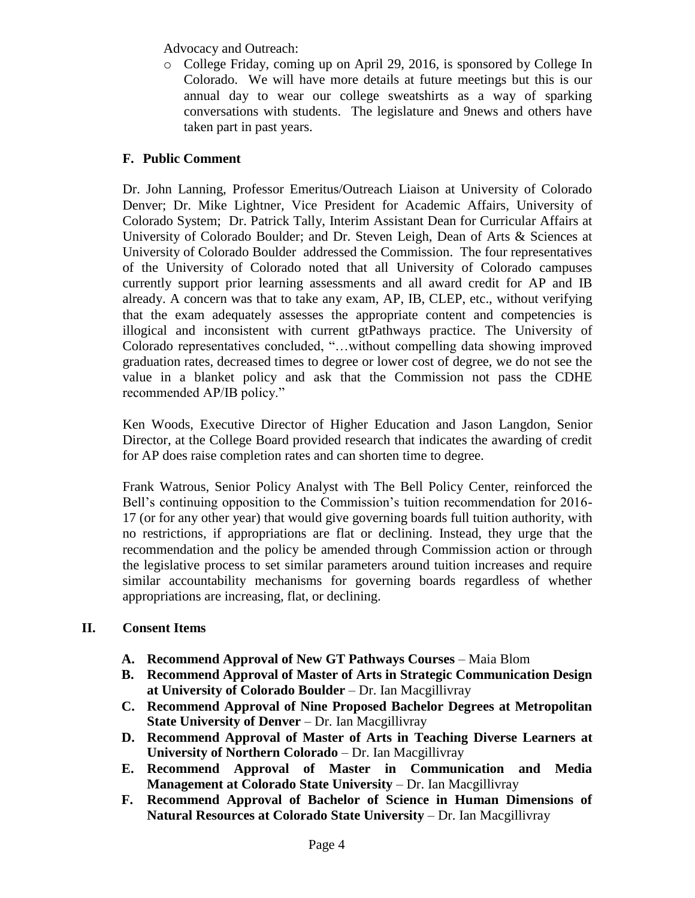Advocacy and Outreach:

o College Friday, coming up on April 29, 2016, is sponsored by College In Colorado. We will have more details at future meetings but this is our annual day to wear our college sweatshirts as a way of sparking conversations with students. The legislature and 9news and others have taken part in past years.

# **F. Public Comment**

Dr. John Lanning, Professor Emeritus/Outreach Liaison at University of Colorado Denver; Dr. Mike Lightner, Vice President for Academic Affairs, University of Colorado System; Dr. Patrick Tally, Interim Assistant Dean for Curricular Affairs at University of Colorado Boulder; and Dr. Steven Leigh, Dean of Arts & Sciences at University of Colorado Boulder addressed the Commission. The four representatives of the University of Colorado noted that all University of Colorado campuses currently support prior learning assessments and all award credit for AP and IB already. A concern was that to take any exam, AP, IB, CLEP, etc., without verifying that the exam adequately assesses the appropriate content and competencies is illogical and inconsistent with current gtPathways practice. The University of Colorado representatives concluded, "…without compelling data showing improved graduation rates, decreased times to degree or lower cost of degree, we do not see the value in a blanket policy and ask that the Commission not pass the CDHE recommended AP/IB policy."

Ken Woods, Executive Director of Higher Education and Jason Langdon, Senior Director, at the College Board provided research that indicates the awarding of credit for AP does raise completion rates and can shorten time to degree.

Frank Watrous, Senior Policy Analyst with The Bell Policy Center, reinforced the Bell's continuing opposition to the Commission's tuition recommendation for 2016- 17 (or for any other year) that would give governing boards full tuition authority, with no restrictions, if appropriations are flat or declining. Instead, they urge that the recommendation and the policy be amended through Commission action or through the legislative process to set similar parameters around tuition increases and require similar accountability mechanisms for governing boards regardless of whether appropriations are increasing, flat, or declining.

## **II. Consent Items**

- **A. Recommend Approval of New GT Pathways Courses** Maia Blom
- **B. Recommend Approval of Master of Arts in Strategic Communication Design at University of Colorado Boulder** – Dr. Ian Macgillivray
- **C. Recommend Approval of Nine Proposed Bachelor Degrees at Metropolitan State University of Denver** – Dr. Ian Macgillivray
- **D. Recommend Approval of Master of Arts in Teaching Diverse Learners at University of Northern Colorado** – Dr. Ian Macgillivray
- **E. Recommend Approval of Master in Communication and Media Management at Colorado State University** – Dr. Ian Macgillivray
- **F. Recommend Approval of Bachelor of Science in Human Dimensions of Natural Resources at Colorado State University** – Dr. Ian Macgillivray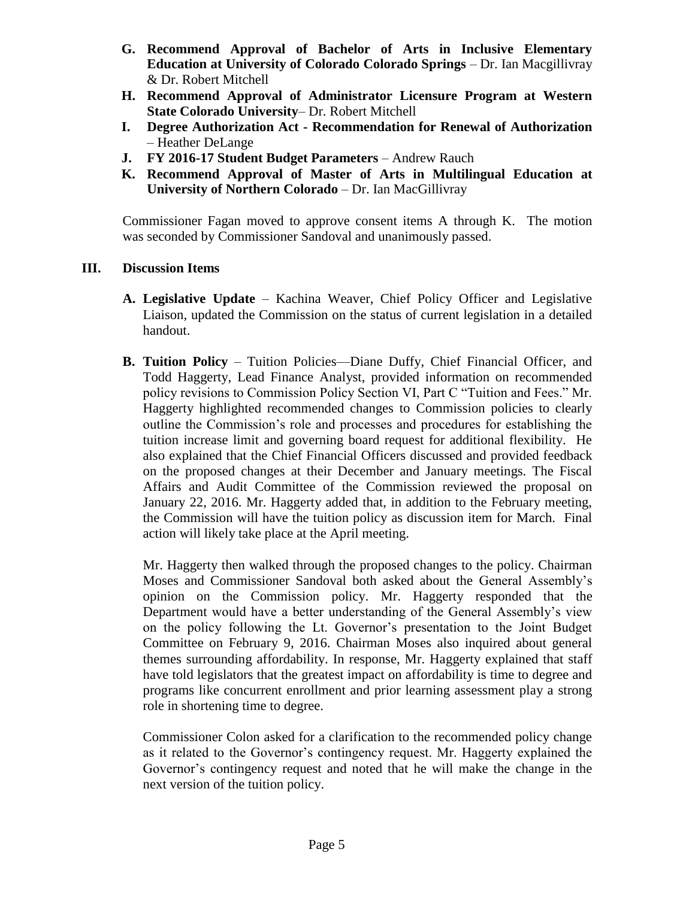- **G. Recommend Approval of Bachelor of Arts in Inclusive Elementary Education at University of Colorado Colorado Springs** – Dr. Ian Macgillivray & Dr. Robert Mitchell
- **H. Recommend Approval of Administrator Licensure Program at Western State Colorado University**– Dr. Robert Mitchell
- **I. Degree Authorization Act - Recommendation for Renewal of Authorization**  – Heather DeLange
- **J. FY 2016-17 Student Budget Parameters** Andrew Rauch
- **K. Recommend Approval of Master of Arts in Multilingual Education at University of Northern Colorado** – Dr. Ian MacGillivray

 Commissioner Fagan moved to approve consent items A through K. The motion was seconded by Commissioner Sandoval and unanimously passed.

## **III. Discussion Items**

- **A. Legislative Update** Kachina Weaver, Chief Policy Officer and Legislative Liaison, updated the Commission on the status of current legislation in a detailed handout.
- **B. Tuition Policy** Tuition Policies—Diane Duffy, Chief Financial Officer, and Todd Haggerty, Lead Finance Analyst, provided information on recommended policy revisions to Commission Policy Section VI, Part C "Tuition and Fees." Mr. Haggerty highlighted recommended changes to Commission policies to clearly outline the Commission's role and processes and procedures for establishing the tuition increase limit and governing board request for additional flexibility. He also explained that the Chief Financial Officers discussed and provided feedback on the proposed changes at their December and January meetings. The Fiscal Affairs and Audit Committee of the Commission reviewed the proposal on January 22, 2016. Mr. Haggerty added that, in addition to the February meeting, the Commission will have the tuition policy as discussion item for March. Final action will likely take place at the April meeting.

Mr. Haggerty then walked through the proposed changes to the policy. Chairman Moses and Commissioner Sandoval both asked about the General Assembly's opinion on the Commission policy. Mr. Haggerty responded that the Department would have a better understanding of the General Assembly's view on the policy following the Lt. Governor's presentation to the Joint Budget Committee on February 9, 2016. Chairman Moses also inquired about general themes surrounding affordability. In response, Mr. Haggerty explained that staff have told legislators that the greatest impact on affordability is time to degree and programs like concurrent enrollment and prior learning assessment play a strong role in shortening time to degree.

Commissioner Colon asked for a clarification to the recommended policy change as it related to the Governor's contingency request. Mr. Haggerty explained the Governor's contingency request and noted that he will make the change in the next version of the tuition policy.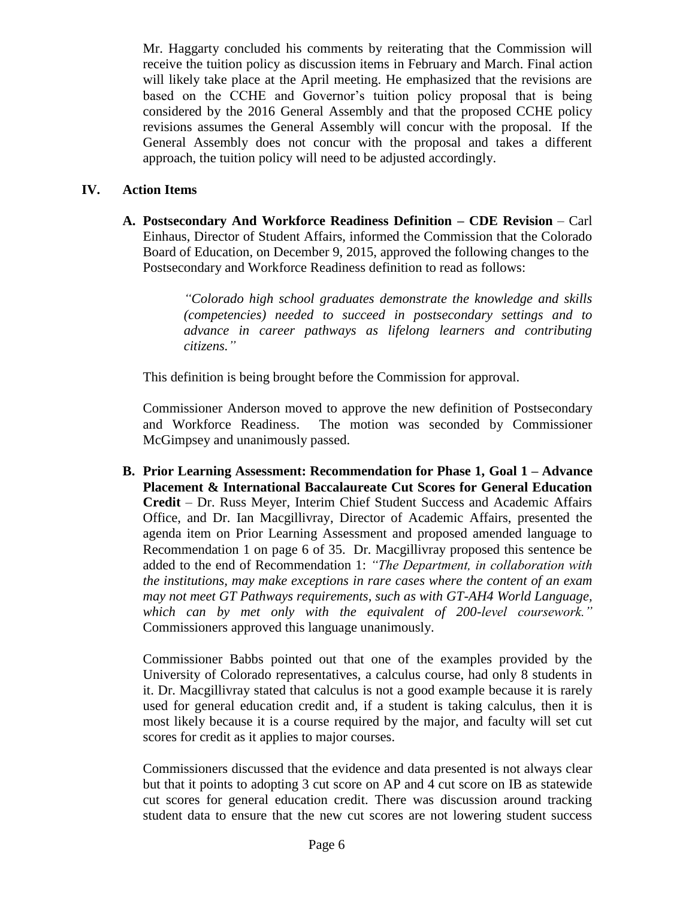Mr. Haggarty concluded his comments by reiterating that the Commission will receive the tuition policy as discussion items in February and March. Final action will likely take place at the April meeting. He emphasized that the revisions are based on the CCHE and Governor's tuition policy proposal that is being considered by the 2016 General Assembly and that the proposed CCHE policy revisions assumes the General Assembly will concur with the proposal. If the General Assembly does not concur with the proposal and takes a different approach, the tuition policy will need to be adjusted accordingly.

## **IV. Action Items**

**A. Postsecondary And Workforce Readiness Definition – CDE Revision** – Carl Einhaus, Director of Student Affairs, informed the Commission that the Colorado Board of Education, on December 9, 2015, approved the following changes to the Postsecondary and Workforce Readiness definition to read as follows:

> *"Colorado high school graduates demonstrate the knowledge and skills (competencies) needed to succeed in postsecondary settings and to advance in career pathways as lifelong learners and contributing citizens."*

This definition is being brought before the Commission for approval.

Commissioner Anderson moved to approve the new definition of Postsecondary and Workforce Readiness. The motion was seconded by Commissioner McGimpsey and unanimously passed.

**B. Prior Learning Assessment: Recommendation for Phase 1, Goal 1 – Advance Placement & International Baccalaureate Cut Scores for General Education Credit** – Dr. Russ Meyer, Interim Chief Student Success and Academic Affairs Office, and Dr. Ian Macgillivray, Director of Academic Affairs, presented the agenda item on Prior Learning Assessment and proposed amended language to Recommendation 1 on page 6 of 35. Dr. Macgillivray proposed this sentence be added to the end of Recommendation 1: *"The Department, in collaboration with the institutions, may make exceptions in rare cases where the content of an exam may not meet GT Pathways requirements, such as with GT-AH4 World Language, which can by met only with the equivalent of 200-level coursework."* Commissioners approved this language unanimously.

Commissioner Babbs pointed out that one of the examples provided by the University of Colorado representatives, a calculus course, had only 8 students in it. Dr. Macgillivray stated that calculus is not a good example because it is rarely used for general education credit and, if a student is taking calculus, then it is most likely because it is a course required by the major, and faculty will set cut scores for credit as it applies to major courses.

Commissioners discussed that the evidence and data presented is not always clear but that it points to adopting 3 cut score on AP and 4 cut score on IB as statewide cut scores for general education credit. There was discussion around tracking student data to ensure that the new cut scores are not lowering student success